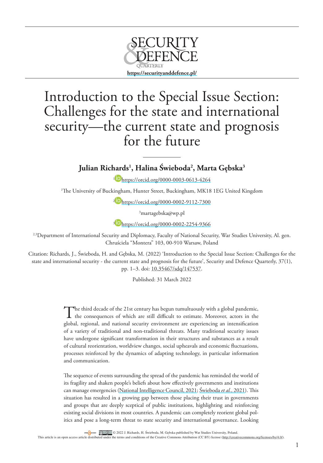

## Introduction to the Special Issue Section: Challenges for the state and international security—the current state and prognosis for the future

**Julian Richards1 , Halina Świeboda2 , Marta Gębska3**

<sup>1</sup> <https://orcid.org/0000-0003-0613-4264>

1 The University of Buckingham, Hunter Street, Buckingham, MK18 1EG United Kingdom

<sup>2</sup> D<sub><https://orcid.org/0000-0002-9112-7300></sub>

3 martagebska@wp.pl

<sup>3</sup> **iD** <https://orcid.org/0000-0002-2254-9366>

<sup>2,3</sup>Department of International Security and Diplomacy, Faculty of National Security, War Studies University, Al. gen. Chruściela "Montera" 103, 00-910 Warsaw, Poland

Citation: Richards, J., Świeboda, H. and Gębska, M. (2022) 'Introduction to the Special Issue Section: Challenges for the state and international security - the current state and prognosis for the future', Security and Defence Quarterly, 37(1), pp. 1–3. doi: [10.35467/sdq/147537](http://doi.org/10.35467/sdq/147537).

Published: 31 March 2022

The third decade of the 21st century has begun tumultuously with a global pandemic, the consequences of which are still difficult to estimate. Moreover, actors in the global, regional, and national security environment are experiencing an intensification of a variety of traditional and non-traditional threats. Many traditional security issues have undergone significant transformation in their structures and substances as a result of cultural reorientation, worldview changes, social upheavals and economic fluctuations, processes reinforced by the dynamics of adapting technology, in particular information and communication.

The sequence of events surrounding the spread of the pandemic has reminded the world of its fragility and shaken people's beliefs about how effectively governments and institutions can manage emergencies [\(National Intelligence Council, 2021;](#page-2-0) [Świeboda](#page-2-1) *et al.*, 2021). This situation has resulted in a growing gap between those placing their trust in governments and groups that are deeply sceptical of public institutions, highlighting and reinforcing existing social divisions in most countries. A pandemic can completely reorient global politics and pose a long-term threat to state security and international governance. Looking

© 2022 J. Richards, H. Świeboda, M. Gębska published by War Studies University, Poland.

This article is an open access article distributed under the terms and conditions of the Creative Commons Attribution (CC BY) license [\(http://creativecommons.org/licenses/by/4.0/](http://creativecommons.org/licenses/by/4.0/))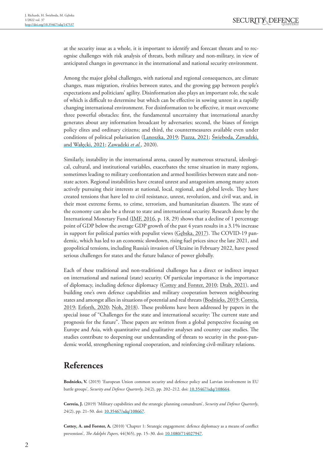at the security issue as a whole, it is important to identify and forecast threats and to recognise challenges with risk analysis of threats, both military and non-military, in view of anticipated changes in governance in the international and national security environment.

Among the major global challenges, with national and regional consequences, are climate changes, mass migration, rivalries between states, and the growing gap between people's expectations and politicians' agility. Disinformation also plays an important role, the scale of which is difficult to determine but which can be effective in sowing unrest in a rapidly changing international environment. For disinformation to be effective, it must overcome three powerful obstacles: first, the fundamental uncertainty that international anarchy generates about any information broadcast by adversaries; second, the biases of foreign policy elites and ordinary citizens; and third, the countermeasures available even under conditions of political polarisation ([Lanoszka, 2019](#page-2-2); [Piazza, 2021;](#page-2-3) [Świeboda, Zawadzki,](#page-2-4)  [and Wałęcki, 2021](#page-2-4); [Zawadzki](#page-2-5) *et al.*, 2020).

Similarly, instability in the international arena, caused by numerous structural, ideological, cultural, and institutional variables, exacerbates the tense situation in many regions, sometimes leading to military confrontation and armed hostilities between state and nonstate actors. Regional instabilities have created unrest and antagonism among many actors actively pursuing their interests at national, local, regional, and global levels. They have created tensions that have led to civil resistance, unrest, revolution, and civil war, and, in their most extreme forms, to crime, terrorism, and humanitarian disasters. The state of the economy can also be a threat to state and international security. Research done by the International Monetary Fund ([IMF, 2016](#page-2-6), p. 18, 29) shows that a decline of 1 percentage point of GDP below the average GDP growth of the past 4 years results in a 3.1% increase in support for political parties with populist views (Gębska, 2017). The COVID-19 pandemic, which has led to an economic slowdown, rising fuel prices since the late 2021, and geopolitical tensions, including Russia's invasion of Ukraine in February 2022, have posed serious challenges for states and the future balance of power globally.

Each of these traditional and non-traditional challenges has a direct or indirect impact on international and national (state) security. Of particular importance is the importance of diplomacy, including defence diplomacy ([Cottey and Forster, 2010;](#page-1-0) [Drab, 2021](#page-2-7)), and building one's own defence capabilities and military cooperation between neighbouring states and amongst allies in situations of potential and real threats [\(Bodnieks, 2019;](#page-1-1) [Correia,](#page-1-2)  [2019;](#page-1-2) [Erforth, 2020;](#page-2-8) [Noh, 2018\)](#page-2-9). These problems have been addressed by papers in the special issue of "Challenges for the state and international security: The current state and prognosis for the future". These papers are written from a global perspective focusing on Europe and Asia, with quantitative and qualitative analyses and country case studies. The studies contribute to deepening our understanding of threats to security in the post-pandemic world, strengthening regional cooperation, and reinforcing civil-military relations.

## **References**

<span id="page-1-1"></span>**Bodnieks, V.** (2019) 'European Union common security and defence policy and Latvian involvement in EU battle groups', *Security and Defence Quarterly*, 24(2), pp. 202–212. doi: [10.35467/sdq/108664.](https://doi.org/10.35467/sdq/108664)

<span id="page-1-2"></span>**Correia, J.** (2019) 'Military capabilities and the strategic planning conundrum', *Security and Defence Quarterly*, 24(2), pp. 21-50. doi: [10.35467/sdq/108667.](https://doi.org/10.35467/sdq/108667)

<span id="page-1-0"></span>**Cottey***,* **A. and Forster, A.** (2010) 'Chapter 1: Strategic engagement: defence diplomacy as a means of conflict prevention', *The Adelphi Papers*, 44(365), pp. 15–30. doi: [10.1080/714027947](https://doi.org/10.1080/714027947).